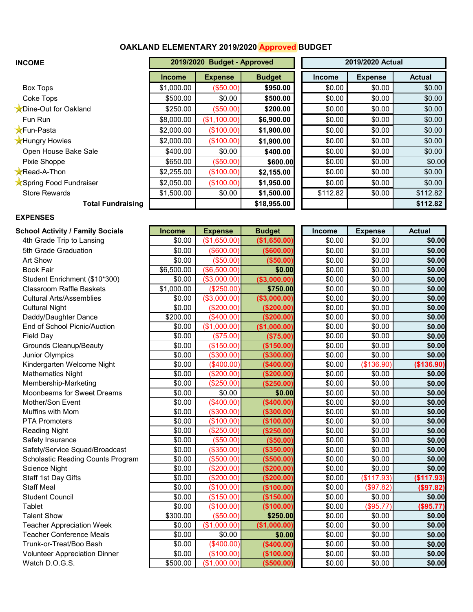## **OAKLAND ELEMENTARY 2019/2020 Approved BUDGET**

| <b>INCOME</b>            | 2019/2020 Budget - Approved |                |               | 2019/2020 Actual |                |               |  |
|--------------------------|-----------------------------|----------------|---------------|------------------|----------------|---------------|--|
|                          | <b>Income</b>               | <b>Expense</b> | <b>Budget</b> | <b>Income</b>    | <b>Expense</b> | <b>Actual</b> |  |
| <b>Box Tops</b>          | \$1,000.00                  | (\$50.00)      | \$950.00      | \$0.00           | \$0.00         | \$0.00        |  |
| Coke Tops                | \$500.00                    | \$0.00         | \$500.00      | \$0.00           | \$0.00         | \$0.00        |  |
| Dine-Out for Oakland     | \$250.00                    | (\$50.00)      | \$200.00      | \$0.00           | \$0.00         | \$0.00        |  |
| Fun Run                  | \$8,000.00                  | (\$1,100.00)   | \$6,900.00    | \$0.00           | \$0.00         | \$0.00        |  |
| <b>XFun-Pasta</b>        | \$2,000.00                  | (\$100.00)     | \$1,900.00    | \$0.00           | \$0.00         | \$0.00        |  |
| <b>X</b> Hungry Howies   | \$2,000.00                  | (\$100.00)     | \$1,900.00    | \$0.00           | \$0.00         | \$0.00        |  |
| Open House Bake Sale     | \$400.00                    | \$0.00         | \$400.00      | \$0.00           | \$0.00         | \$0.00        |  |
| Pixie Shoppe             | \$650.00                    | (\$50.00)      | \$600.00      | \$0.00           | \$0.00         | \$0.00        |  |
| <b>Read-A-Thon</b>       | \$2,255.00                  | (\$100.00)     | \$2,155.00    | \$0.00           | \$0.00         | \$0.00        |  |
| Spring Food Fundraiser   | \$2,050.00                  | (\$100.00)     | \$1,950.00    | \$0.00           | \$0.00         | \$0.00        |  |
| <b>Store Rewards</b>     | \$1,500.00                  | \$0.00         | \$1,500.00    | \$112.82         | \$0.00         | \$112.82      |  |
| <b>Total Fundraising</b> |                             |                | \$18,955.00   |                  |                | \$112.82      |  |

## **EXPENSES**

**School Activity / Family Socials** 4th Grade Trip to Lansing \$0.00 (\$1,650.00) **(\$1,650.00)** \$0.00 \$0.00 **\$0.00**  5th Grade Graduation \$0.00 (\$600.00) **(\$600.00)** \$0.00 \$0.00 **\$0.00**  Student Enrichment (\$10\*300)  $Clasroom$  Raffle Baskets Cultural Arts/Assemblies \$0.00 (\$3,000.00) **(\$3,000.00)** \$0.00 \$0.00 **\$0.00**   $D$ addy/Daughter Dance End of School Picnic/Auction Grounds Cleanup/Beauty \$0.00 (\$150.00) **(\$150.00)** \$0.00 \$0.00 **\$0.00**   $Junior$  **Olympics**  $K$ indergarten Welcome Night  $Mathematics Night$ Membership-Marketing \$0.00 (\$250.00) **(\$250.00)** \$0.00 \$0.00 **\$0.00**   $M$ oonbeams for Sweet Dreams Muffins with Mom \$0.00 (\$300.00) **(\$300.00)** \$0.00 \$0.00 **\$0.00**   $PTA$  Promoters  $Reading Night$  $S$ afety Insurance  $S$ afety/Service Squad/Broadcast  $S$ cholastic Reading Counts Program  $Stat 1st Day Gifts$  $Teacher Appreciation Week$  $Teacher Conference Meals$ Trunk-or-Treat/Boo Bash \$0.00 (\$400.00) **(\$400.00)** \$0.00 \$0.00 **\$0.00**  Volunteer Appreciation Dinner \$0.00 (\$100.00) **(\$100.00)** \$0.00 \$0.00 **\$0.00** 

| hool Activity / Family Socials:      | <b>Income</b> | <b>Expense</b> | <b>Budget</b> | Income | <b>Expense</b> | <b>Actual</b> |
|--------------------------------------|---------------|----------------|---------------|--------|----------------|---------------|
| 4th Grade Trip to Lansing            | \$0.00        | (\$1,650.00)   | (\$1,650.00)  | \$0.00 | \$0.00         | \$0.00        |
| 5th Grade Graduation                 | \$0.00        | (\$600.00)     | ( \$600.00)   | \$0.00 | \$0.00         | \$0.00        |
| Art Show                             | \$0.00        | (\$50.00)      | (\$50.00)     | \$0.00 | \$0.00         | \$0.00        |
| <b>Book Fair</b>                     | \$6,500.00    | (\$6,500.00)   | \$0.00        | \$0.00 | \$0.00         | \$0.00        |
| Student Enrichment (\$10*300)        | \$0.00        | (\$3,000.00)   | (\$3,000.00)  | \$0.00 | \$0.00         | \$0.00        |
| <b>Classroom Raffle Baskets</b>      | \$1,000.00    | (\$250.00)     | \$750.00      | \$0.00 | \$0.00         | \$0.00        |
| <b>Cultural Arts/Assemblies</b>      | \$0.00        | (\$3,000.00)   | ( \$3,000.00) | \$0.00 | \$0.00         | \$0.00        |
| <b>Cultural Night</b>                | \$0.00        | (\$200.00)     | (\$200.00)    | \$0.00 | \$0.00         | \$0.00        |
| Daddy/Daughter Dance                 | \$200.00      | (\$400.00)     | (\$200.00)    | \$0.00 | \$0.00         | \$0.00        |
| <b>End of School Picnic/Auction</b>  | \$0.00        | (\$1,000.00)   | (\$1,000.00)  | \$0.00 | \$0.00         | \$0.00        |
| <b>Field Day</b>                     | \$0.00        | (\$75.00)      | (\$75.00)     | \$0.00 | \$0.00         | \$0.00        |
| <b>Grounds Cleanup/Beauty</b>        | \$0.00        | (\$150.00)     | (\$150.00)    | \$0.00 | \$0.00         | \$0.00        |
| Junior Olympics                      | \$0.00        | (\$300.00)     | (\$300.00)    | \$0.00 | \$0.00         | \$0.00        |
| Kindergarten Welcome Night           | \$0.00        | (\$400.00)     | (\$400.00)    | \$0.00 | (\$136.90)     | (\$136.90)    |
| <b>Mathematics Night</b>             | \$0.00        | (\$200.00)     | (\$200.00)    | \$0.00 | \$0.00         | \$0.00        |
| Membership-Marketing                 | \$0.00        | (\$250.00)     | (\$250.00)    | \$0.00 | \$0.00         | \$0.00        |
| Moonbeams for Sweet Dreams           | \$0.00        | \$0.00         | \$0.00        | \$0.00 | \$0.00         | \$0.00        |
| Mother/Son Event                     | \$0.00        | (\$400.00)     | ( \$400.00]   | \$0.00 | \$0.00         | \$0.00        |
| Muffins with Mom                     | \$0.00        | (\$300.00)     | (\$300.00)    | \$0.00 | \$0.00         | \$0.00        |
| <b>PTA Promoters</b>                 | \$0.00        | (\$100.00)     | (\$100.00)    | \$0.00 | \$0.00         | \$0.00        |
| <b>Reading Night</b>                 | \$0.00        | (\$250.00)     | (\$250.00)    | \$0.00 | \$0.00         | \$0.00        |
| Safety Insurance                     | \$0.00        | (\$50.00)      | (\$50.00)     | \$0.00 | \$0.00         | \$0.00        |
| Safety/Service Squad/Broadcast       | \$0.00        | (\$350.00)     | (\$350.00)    | \$0.00 | \$0.00         | \$0.00        |
| Scholastic Reading Counts Program    | \$0.00        | (\$500.00)     | ( \$500.00)   | \$0.00 | \$0.00         | \$0.00        |
| Science Night                        | \$0.00        | (\$200.00)     | (\$200.00)    | \$0.00 | \$0.00         | \$0.00        |
| Staff 1st Day Gifts                  | \$0.00        | (\$200.00)     | (\$200.00)    | \$0.00 | (\$117.93)     | (\$117.93)    |
| <b>Staff Meal</b>                    | \$0.00        | (\$100.00)     | (\$100.00)    | \$0.00 | (\$97.82)      | (\$97.82)     |
| <b>Student Council</b>               | \$0.00        | (\$150.00)     | (\$150.00)    | \$0.00 | \$0.00         | \$0.00        |
| Tablet                               | \$0.00        | (\$100.00)     | (\$100.00)    | \$0.00 | (\$95.77)      | (\$95.77)     |
| <b>Talent Show</b>                   | \$300.00      | (\$50.00)      | \$250.00      | \$0.00 | \$0.00         | \$0.00        |
| <b>Teacher Appreciation Week</b>     | \$0.00        | (\$1,000.00)   | (\$1,000.00)  | \$0.00 | \$0.00         | \$0.00        |
| <b>Teacher Conference Meals</b>      | \$0.00        | \$0.00         | \$0.00        | \$0.00 | \$0.00         | \$0.00        |
| Trunk-or-Treat/Boo Bash              | \$0.00        | (\$400.00)     | (\$400.00)    | \$0.00 | \$0.00         | \$0.00        |
| <b>Volunteer Appreciation Dinner</b> | \$0.00        | (\$100.00)     | (\$100.00)    | \$0.00 | \$0.00         | \$0.00        |
| Watch D.O.G.S.                       | \$500.00      | (\$1,000.00)   | (\$500.00)    | \$0.00 | \$0.00         | \$0.00        |

| Income | <b>Expense</b> | <b>Actual</b> |
|--------|----------------|---------------|
| \$0.00 | \$0.00         | \$0.00        |
| \$0.00 | \$0.00         | \$0.00        |
| \$0.00 | \$0.00         | \$0.00        |
| \$0.00 | \$0.00         | \$0.00        |
| \$0.00 | \$0.00         | \$0.00        |
| \$0.00 | \$0.00         | \$0.00        |
| \$0.00 | \$0.00         | \$0.00        |
| \$0.00 | \$0.00         | \$0.00        |
| \$0.00 | \$0.00         | \$0.00        |
| \$0.00 | \$0.00         | \$0.00        |
| \$0.00 | \$0.00         | \$0.00        |
| \$0.00 | \$0.00         | \$0.00        |
| \$0.00 | \$0.00         | \$0.00        |
| \$0.00 | (\$136.90)     | (\$136.90)    |
| \$0.00 | \$0.00         | \$0.00        |
| \$0.00 | \$0.00         | \$0.00        |
| \$0.00 | \$0.00         | \$0.00        |
| \$0.00 | \$0.00         | \$0.00        |
| \$0.00 | \$0.00         | \$0.00        |
| \$0.00 | \$0.00         | \$0.00        |
| \$0.00 | \$0.00         | \$0.00        |
| \$0.00 | \$0.00         | \$0.00        |
| \$0.00 | \$0.00         | \$0.00        |
| \$0.00 | \$0.00         | \$0.00        |
| \$0.00 | \$0.00         | \$0.00        |
| \$0.00 | (\$117.93)     | (\$117.93)    |
| \$0.00 | (\$97.82)      | (\$97.82)     |
| \$0.00 | \$0.00         | \$0.00        |
| \$0.00 | (\$95.77)      | (\$95.77)     |
| \$0.00 | \$0.00         | \$0.00        |
| \$0.00 | \$0.00         | \$0.00        |
| \$0.00 | \$0.00         | \$0.00        |
| \$0.00 | \$0.00         | \$0.00        |
| \$0.00 | \$0.00         | \$0.00        |
| \$0.00 | \$0.00         | \$0.00        |